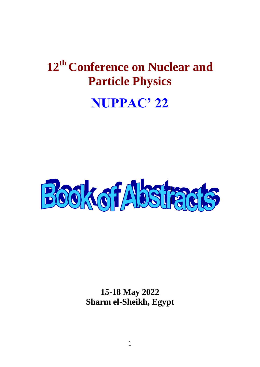# **12 th Conference on Nuclear and Particle Physics**

# **NUPPAC' 22**



**15-18 May 2022 Sharm el-Sheikh, Egypt**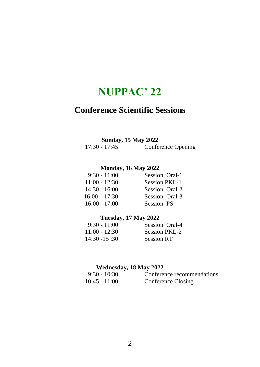# **Conference Scientific Sessions**

# **Sunday, 15 May 2022**<br>17:30 - 17:45 Confe

Conference Opening

# **Monday, 16 May 2022**

| $9:30 - 11:00$  | Session Oral-1       |
|-----------------|----------------------|
| $11:00 - 12:30$ | <b>Session PKL-1</b> |
| $14:30 - 16:00$ | Session Oral-2       |
| $16:00 - 17:30$ | Session Oral-3       |
| $16:00 - 17:00$ | <b>Session PS</b>    |
|                 |                      |

# **Tuesday, 17 May 2022**

| $9:30 - 11:00$  | Session Oral-4    |
|-----------------|-------------------|
| $11:00 - 12:30$ | Session PKL-2     |
| $14:30 - 15:30$ | <b>Session RT</b> |

# **Wednesday, 18 May 2022**

| $9:30 - 10:30$  | Conference recommendations |
|-----------------|----------------------------|
| $10:45 - 11:00$ | Conference Closing         |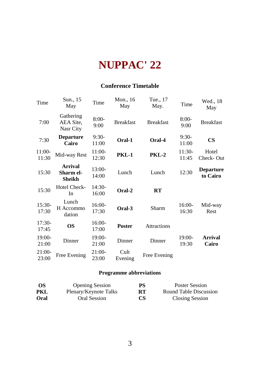# **Conference Timetable**

| Time              | Sun., 15<br>May                     | Time              | Mon., 16<br>May  | Tue., 17<br>May.   | Time              | Wed., 18<br>May              |
|-------------------|-------------------------------------|-------------------|------------------|--------------------|-------------------|------------------------------|
| 7:00              | Gathering<br>AEA Site,<br>Nasr City | $8:00-$<br>9:00   | <b>Breakfast</b> | <b>Breakfast</b>   | $8:00-$<br>9:00   | <b>Breakfast</b>             |
| 7:30              | <b>Departure</b><br>Cairo           | $9:30-$<br>11:00  | Oral-1           | Oral-4             | $9:30-$<br>11:00  | $\mathbf{CS}$                |
| 11:00-<br>11:30   | Mid-way Rest                        | $11:00-$<br>12:30 | <b>PKL-1</b>     | PKL-2              | 11:30-<br>11:45   | Hotel<br>Check-Out           |
| 15:30             | Arrival<br>Sharm el-<br>Sheikh      | $13:00-$<br>14:00 | Lunch            | Lunch              | 12:30             | <b>Departure</b><br>to Cairo |
| 15:30             | Hotel Check-<br>In                  | $14:30-$<br>16:00 | Oral-2           | RT                 |                   |                              |
| $15:30-$<br>17:30 | Lunch<br>H Accommo<br>dation        | $16:00-$<br>17:30 | Oral-3           | Sharm              | 16:00-<br>16:30   | Mid-way<br>Rest              |
| $17:30-$<br>17:45 | <b>OS</b>                           | 16:00-<br>17:00   | <b>Poster</b>    | <b>Attractions</b> |                   |                              |
| 19:00-<br>21:00   | Dinner                              | 19:00-<br>21:00   | Dinner           | Dinner             | $19:00-$<br>19:30 | Arrival<br>Cairo             |
| $21:00-$<br>23:00 | Free Evening                        | $21:00-$<br>23:00 | Cult<br>Evening  | Free Evening       |                   |                              |

# **Programme abbreviations**

| - OS | <b>Opening Session</b> | <b>PS</b> | Poster Session         |
|------|------------------------|-----------|------------------------|
| PKL  | Plenary/Keynote Talks  | <b>RT</b> | Round Table Discussion |
| Oral | Oral Session           | <b>CS</b> | <b>Closing Session</b> |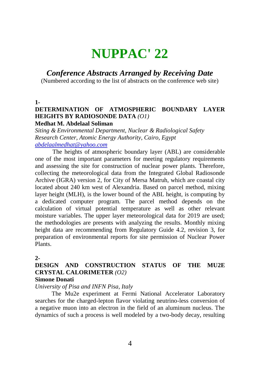# *Conference Abstracts Arranged by Receiving Date*

(Numbered according to the list of abstracts on the conference web site)

**1-**

# **DETERMINATION OF ATMOSPHERIC BOUNDARY LAYER HEIGHTS BY RADIOSONDE DATA** *(O1)*

# **Medhat M. Abdelaal Soliman**

*Siting & Environmental Department, Nuclear & Radiological Safety Research Center, Atomic Energy Authority, Cairo, Egypt [abdelaalmedhat@yahoo.com](mailto:abdelaalmedhat@yahoo.com)*

The heights of atmospheric boundary layer (ABL) are considerable one of the most important parameters for meeting regulatory requirements and assessing the site for construction of nuclear power plants. Therefore, collecting the meteorological data from the Integrated Global Radiosonde Archive (IGRA) version 2, for City of Mersa Matruh, which are coastal city located about 240 km west of Alexandria. Based on parcel method, mixing layer height (MLH), is the lower bound of the ABL height, is computing by a dedicated computer program. The parcel method depends on the calculation of virtual potential temperature as well as other relevant moisture variables. The upper layer meteorological data for 2019 are used; the methodologies are presents with analyzing the results. Monthly mixing height data are recommending from Regulatory Guide 4.2, revision 3, for preparation of environmental reports for site permission of Nuclear Power Plants.

### **2-**

# **DESIGN AND CONSTRUCTION STATUS OF THE MU2E CRYSTAL CALORIMETER** *(O2)*

### **Simone Donati**

*University of Pisa and INFN Pisa, Italy*

The Mu2e experiment at Fermi National Accelerator Laboratory searches for the charged-lepton flavor violating neutrino-less conversion of a negative muon into an electron in the field of an aluminum nucleus. The dynamics of such a process is well modeled by a two-body decay, resulting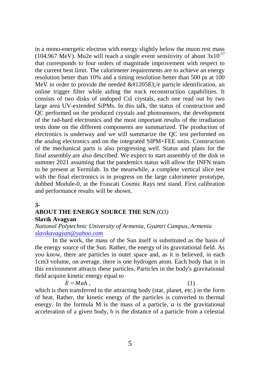in a mono-energetic electron with energy slightly below the muon rest mass (104.967 MeV). Mu2e will reach a single event sensitivity of about  $3x10^{-17}$ that corresponds to four orders of magnitude improvement with respect to the current best limit. The calorimeter requirements are to achieve an energy resolution better than 10% and a timing resolution better than 500 ps at 100 MeV in order to provide the needed  $&\#120583$ ;/e particle identification, an online trigger filter while aiding the track reconstruction capabilities. It consists of two disks of undoped CsI crystals, each one read out by two large area UV-extended SiPMs. In this talk, the status of construction and QC performed on the produced crystals and photosensors, the development of the rad-hard electronics and the most important results of the irradiation tests done on the different components are summarized. The production of electronics is underway and we will summarize the QC test performed on the analog electronics and on the integrated SIPM+FEE units. Construction of the mechanical parts is also progressing well. Status and plans for the final assembly are also described. We expect to start assembly of the disk in summer 2021 assuming that the pandemics status will allow the INFN team to be present at Fermilab. In the meanwhile, a complete vertical slice test with the final electronics is in progress on the large calorimeter prototype. dubbed Module-0, at the Frascati Cosmic Rays test stand. First calibration and performance results will be shown.

#### **3-**

### **ABOUT THE ENERGY SOURCE THE SUN** *(O3)* **Slavik Avagyan**

### *National Polytechnic University of Armenia, Gyumri Campus, Armenia [slavikavagyan@yahoo.com](mailto:slavikavagyan@yahoo.com)*

In the work, the mass of the Sun itself is substituted as the basis of the energy source of the Sun. Rather, the energy of its gravitational field. As you know, there are particles in outer space and, as it is believed, in each 1cm3 volume, on average, there is one hydrogen atom. Each body that is in this environment attracts these particles. Particles in the body's gravitational field acquire kinetic energy equal to

$$
E = Mah , \t\t(1)
$$

which is then transferred to the attracting body (star, planet, etc.) in the form of heat. Rather, the kinetic energy of the particles is converted to thermal energy. In the formula M is the mass of a particle,  $\alpha$  is the gravitational acceleration of a given body, h is the distance of a particle from a celestial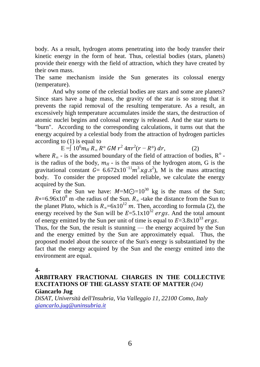body. As a result, hydrogen atoms penetrating into the body transfer their kinetic energy in the form of heat. Thus, celestial bodies (stars, planets) provide their energy with the field of attraction, which they have created by their own mass.

The same mechanism inside the Sun generates its colossal energy (temperature).

And why some of the celestial bodies are stars and some are planets? Since stars have a huge mass, the gravity of the star is so strong that it prevents the rapid removal of the resulting temperature. As a result, an excessively high temperature accumulates inside the stars, the destruction of atomic nuclei begins and colossal energy is released. And the star starts to "burn". According to the corresponding calculations, it turns out that the energy acquired by a celestial body from the attraction of hydrogen particles according to (1) is equal to

 $E = \int 10^6 m_H R_\infty R^\circ \, GM \, r^2 \, 4\pi r^2 (r - R^\circ) \, dr,$  (2)

where  $R_{\infty}$  - is the assumed boundary of the field of attraction of bodies,  $R^{\circ}$  is the radius of the body,  $m_H$  - is the mass of the hydrogen atom, G is the gravitational constant  $G = 6.672 \times 10^{-11} m^3 \cdot \text{kg} \cdot s^2$ , M is the mass attracting body. To consider the proposed model reliable, we calculate the energy acquired by the Sun.

For the Sun we have:  $M=MQ=10^{30}$  kg is the mass of the Sun;  $R \circ = 6.96 \times 10^8$  m -the radius of the Sun.  $R_{\infty}$  -take the distance from the Sun to the planet Pluto, which is  $R_{\infty} = 6x10^{12}$  m. Then, according to formula (2), the energy received by the Sun will be  $E=5.1x10^{32} ergs$ . And the total amount of energy emitted by the Sun per unit of time is equal to  $E=3.8x10^{33}$  ergs.

Thus, for the Sun, the result is stunning — the energy acquired by the Sun and the energy emitted by the Sun are approximately equal. Thus, the proposed model about the source of the Sun's energy is substantiated by the fact that the energy acquired by the Sun and the energy emitted into the environment are equal.

**4-**

### **ARBITRARY FRACTIONAL CHARGES IN THE COLLECTIVE EXCITATIONS OF THE GLASSY STATE OF MATTER** *(O4)* **Giancarlo Jug**

*DiSAT, Università dell'Insubria, Via Valleggio 11, 22100 Como, Italy [giancarlo.jug@uninsubria.it](mailto:giancarlo.jug@uninsubria.it)*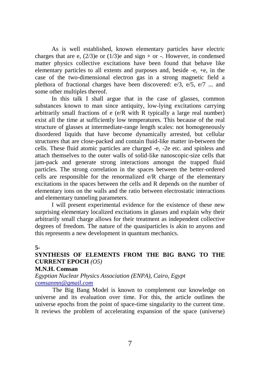As is well established, known elementary particles have electric charges that are e,  $(2/3)e$  or  $(1/3)e$  and sign + or -. However, in condensed matter physics collective excitations have been found that behave like elementary particles to all extents and purposes and, beside -e, +e, in the case of the two-dimensional electron gas in a strong magnetic field a plethora of fractional charges have been discovered: e/3, e/5, e/7 ... and some other multiples thereof.

In this talk I shall argue that in the case of glasses, common substances known to man since antiquity, low-lying excitations carrying arbitrarily small fractions of e (e/R with R typically a large real number) exist all the time at sufficiently low temperatures. This because of the real structure of glasses at intermediate-range length scales: not homogeneously disordered liquids that have become dynamically arrested, but cellular structures that are close-packed and contain fluid-like matter in-between the cells. These fluid atomic particles are charged -e, -2e etc. and spinless and attach themselves to the outer walls of solid-like nanoscopic-size cells that jam-pack and generate strong interactions amongst the trapped fluid particles. The strong correlation in the spaces between the better-ordered cells are responsible for the renormalized  $e/R$  charge of the elementary excitations in the spaces between the cells and R depends on the number of elementary ions on the walls and the ratio between electrostatic interactions and elementary tunneling parameters.

I will present experimental evidence for the existence of these new surprising elementary localized excitations in glasses and explain why their arbitrarily small charge allows for their treatment as independent collective degrees of freedom. The nature of the quasiparticles is akin to anyons and this represents a new development in quantum mechanics.

#### **5-**

# **SYNTHESIS OF ELEMENTS FROM THE BIG BANG TO THE CURRENT EPOCH** *(O5)*

#### **M.N.H. Comsan**

*Egyptian Nuclear Physics Association (ENPA), Cairo, Egypt [comsanmn@gmail.com](mailto:comsanmn@gmail.com)*

The Big Bang Model is known to complement our knowledge on universe and its evaluation over time. For this, the article outlines the universe epochs from the point of space-time singularity to the current time. It reviews the problem of accelerating expansion of the space (universe)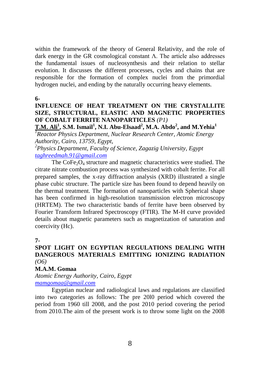within the framework of the theory of General Relativity, and the role of dark energy in the GR cosmological constant Λ. The article also addresses the fundamental issues of nucleosynthesis and their relation to stellar evolution. It discusses the different processes, cycles and chains that are responsible for the formation of complex nuclei from the primordial hydrogen nuclei, and ending by the naturally occurring heavy elements.

**6-**

# **INFLUENCE OF HEAT TREATMENT ON THE CRYSTALLITE SIZE, STRUCTURAL, ELASTIC AND MAGNETIC PROPERTIES OF COBALT FERRITE NANOPARTICLES** *(P1)*

**T.M. Ali<sup>1</sup> , S.M. Ismail<sup>1</sup> , N.I. Abu-Elsaad<sup>2</sup> , M.A. Abdo<sup>2</sup> , and M.Yehia<sup>1</sup>** *<sup>1</sup>Reactor Physics Department, Nuclear Research Center, Atomic Energy Authority, Cairo, 13759, Egypt,*

*<sup>2</sup>Physics Department, Faculty of Science, Zagazig University, Egypt [taghreedmah.91@gmail.com](mailto:taghreedmah.91@gmail.com)*

The  $CoFe<sub>2</sub>O<sub>4</sub>$  structure and magnetic characteristics were studied. The citrate nitrate combustion process was synthesized with cobalt ferrite. For all prepared samples, the x-ray diffraction analysis (XRD) illustrated a single phase cubic structure. The particle size has been found to depend heavily on the thermal treatment. The formation of nanoparticles with Spherical shape has been confirmed in high-resolution transmission electron microscopy (HRTEM). The two characteristic bands of ferrite have been observed by Fourier Transform Infrared Spectroscopy (FTIR). The M-H curve provided details about magnetic parameters such as magnetization of saturation and coercivity (Hc).

**7-**

# **SPOT LIGHT ON EGYPTIAN REGULATIONS DEALING WITH DANGEROUS MATERIALS EMITTING IONIZING RADIATION**  *(O6)*

# **M.A.M. Gomaa**

*Atomic Energy Authority, Cairo, Egypt [mamgomaa@gmail.com](mailto:mamgomaa@gmail.com)*

Egyptian nuclear and radiological laws and regulations are classified into two categories as follows: The pre 20l0 period which covered the period from 1960 till 2008, and the post 2010 period covering the period from 2010.The aim of the present work is to throw some light on the 2008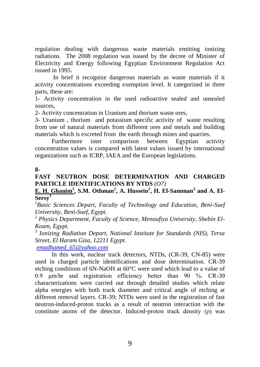regulation dealing with dangerous waste materials emitting ionizing radiations. The 2008 regulation was issued by the decree of Minister of Electricity and Energy following Egyptian Environment Regulation Act issued in 1995.

In brief it recognize dangerous materials as waste materials if it activity concentrations exceeding exemption level. It categorized in three parts, these are:

1- Activity concentration in the used radioactive sealed and unsealed sources,

2- Activity concentration in Uranium and thorium waste ores,

3- Uranium , thorium and potassium specific activity of waste resulting from use of natural materials from different ores and metals and building materials which is excreted from the earth through mines and quarries.

Furthermore inter comparison between Egyptian activity concentration values is compared with latest values issued by international organizations such as ICRP, IAEA and the European legislations.

#### **8-**

## **FAST NEUTRON DOSE DETERMINATION AND CHARGED PARTICLE IDENTIFICATIONS BY NTDS** *(O7)*

### **E. H. Ghanim<sup>1</sup> , S.M. Othman<sup>2</sup> , A. Hussein<sup>2</sup> , H. El-Samman<sup>2</sup> and A. El-Sersy<sup>3</sup>**

*<sup>1</sup>Basic Sciences Depart, Faculty of Technology and Education, Beni-Suef University, Beni-Suef, Egypt.* 

*<sup>2</sup> Physics Department, Faculty of Science, Menoufiya University, Shebin El-Koam, Egypt.* 

*3 Ionizing Radiation Depart, National Institute for Standards (NIS), Tersa Street, El Haram Giza, 12211 Egypt.*

*[emadhamed\\_65@yahoo.com](mailto:emadhamed_65@yahoo.com)*

In this work, nuclear track detectors, NTDs, (CR-39, CN-85) were used in charged particle identifications and dose determination. CR-39 etching conditions of 6N-NaOH at 60°C were used which lead to a value of 0.9 μm/hr and registration efficiency better than 90 %. CR-39 characterizations were carried out through detailed studies which relate alpha energies with both track diameter and critical angle of etching at different removal layers. CR-39; NTDs were used in the registration of fast neutron-induced-proton tracks as a result of neutron interaction with the constitute atoms of the detector. Induced-proton track density (ρ) was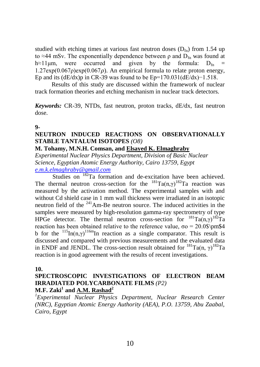studied with etching times at various fast neutron doses  $(D_{fn})$  from 1.54 up to ≈44 mSv. The exponentially dependence between  $\rho$  and  $D_{fn}$  was found at h≈11um, were occurred and given by the formula:  $D_{fn}$  =  $1.27 \exp(0.067\rho) \exp(0.067\rho)$ . An empirical formula to relate proton energy, Ep and its (dE/dx)p in CR-39 was found to be Ep=170.031(dE/dx)−1.518.

Results of this study are discussed within the framework of nuclear track formation theories and etching mechanism in nuclear track detectors.

*Keywords:* CR-39, NTDs, fast neutron, proton tracks, dE/dx, fast neutron dose.

#### **9-**

#### **NEUTRON INDUCED REACTIONS ON OBSERVATIONALLY STABLE TANTALUM ISOTOPES** *(O8)*

#### **M. Tohamy, M.N.H. Comsan, and Elsayed K. Elmaghraby**

*Experimental Nuclear Physics Department, Division of Basic Nuclear Science, Egyptian Atomic Energy Authority, Cairo 13759, Egypt [e.m.k.elmaghraby@gmail.com](mailto:e.m.k.elmaghraby@gmail.com)*

Studies on <sup>182</sup>Ta formation and de-excitation have been achieved. The thermal neutron cross-section for the  $^{181}Ta(n, \gamma)^{182}Ta$  reaction was measured by the activation method. The experimental samples with and without Cd shield case in 1 mm wall thickness were irradiated in an isotopic neutron field of the  $241$  Am-Be neutron source. The induced activities in the samples were measured by high-resolution gamma-ray spectrometry of type HPGe detector. The thermal neutron cross-section for  $^{181}$ Ta(n,γ)<sup>182</sup>Ta reaction has been obtained relative to the reference value,  $σo = 20.0$ \$\pm\$4 b for the  $^{115}$ In(n,γ)<sup>116m</sup>In reaction as a single comparator. This result is discussed and compared with previous measurements and the evaluated data in ENDF and JENDL. The cross-section result obtained for  $^{181}$ Ta(n,  $\gamma$ )<sup>182</sup>Ta reaction is in good agreement with the results of recent investigations.

#### **10.**

# **SPECTROSCOPIC INVESTIGATIONS OF ELECTRON BEAM IRRADIATED POLYCARBONATE FILMS** *(P2)* **M.F. Zaki<sup>1</sup> and A.M. Rashad<sup>2</sup>**

*<sup>1</sup>Experimental Nuclear Physics Department, Nuclear Research Center (NRC), Egyptian Atomic Energy Authority (AEA), P.O. 13759, Abu Zaabal, Cairo, Egypt*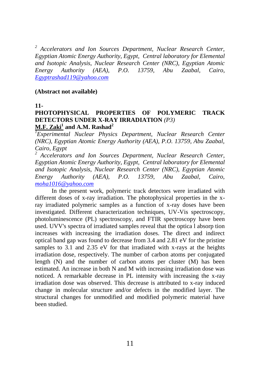*<sup>2</sup> Accelerators and Ion Sources Department, Nuclear Research Center, Egyptian Atomic Energy Authority, Egypt, Central laboratory for Elemental and Isotopic Analysis, Nuclear Research Center (NRC), Egyptian Atomic Energy Authority (AEA), P.O. 13759, Abu Zaabal, Cairo, [Egyptrashad119@yahoo.com](mailto:Egyptrashad119@yahoo.com)*

#### **(Abstract not available)**

#### **11-**

# **PHOTOPHYSICAL PROPERTIES OF POLYMERIC TRACK DETECTORS UNDER X-RAY IRRADIATION** *(P3)* **M.F. Zaki<sup>1</sup> and A.M. Rashad<sup>2</sup>**

*<sup>1</sup>Experimental Nuclear Physics Department, Nuclear Research Center (NRC), Egyptian Atomic Energy Authority (AEA), P.O. 13759, Abu Zaabal, Cairo, Egypt* 

*<sup>2</sup> Accelerators and Ion Sources Department, Nuclear Research Center, Egyptian Atomic Energy Authority, Egypt, Central laboratory for Elemental and Isotopic Analysis, Nuclear Research Center (NRC), Egyptian Atomic Energy Authority (AEA), P.O. 13759, Abu Zaabal, Cairo, [moha1016@yahoo.com](mailto:moha1016@yahoo.com)*

In the present work, polymeric track detectors were irradiated with different doses of x-ray irradiation. The photophysical properties in the xray irradiated polymeric samples as a function of x-ray doses have been investigated. Different characterization techniques, UV-Vis spectroscopy, photoluminescence (PL) spectroscopy, and FTIR spectroscopy have been used. UVV's spectra of irradiated samples reveal that the optica l absorp tion increases with increasing the irradiation doses. The direct and indirect optical band gap was found to decrease from 3.4 and 2.81 eV for the pristine samples to 3.1 and 2.35 eV for that irradiated with x-rays at the heights irradiation dose, respectively. The number of carbon atoms per conjugated length (N) and the number of carbon atoms per cluster (M) has been estimated. An increase in both N and M with increasing irradiation dose was noticed. A remarkable decrease in PL intensity with increasing the x-ray irradiation dose was observed. This decrease is attributed to x-ray induced change in molecular structure and/or defects in the modified layer. The structural changes for unmodified and modified polymeric material have been studied.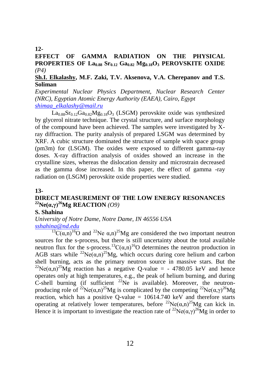#### **12-**

## **EFFECT OF GAMMA RADIATION ON THE PHYSICAL PROPERTIES OF La0.88 Sr0.12 Ga0.82 Mg0.18O<sup>3</sup> PEROVSKITE OXIDE**  *(P4)*

#### **Sh.I. Elkalashy, M.F. Zaki, T.V. Aksenova, V.A. Cherepanov and T.S. Soliman**

*Experimental Nuclear Physics Department, Nuclear Research Center (NRC), Egyptian Atomic Energy Authority (EAEA), Cairo, Egypt [shimaa\\_elkalashy@mail.ru](mailto:shimaa_elkalashy@mail.ru)*

 $La<sub>0.88</sub>Sr<sub>0.12</sub>Ga<sub>0.82</sub>Mg<sub>0.18</sub>O<sub>3</sub>$  (LSGM) perovskite oxide was synthesized by glycerol nitrate technique. The crystal structure, and surface morphology of the compound have been achieved. The samples were investigated by Xray diffraction. The purity analysis of prepared LSGM was determined by XRF. A cubic structure dominated the structure of sample with space group (pm3m) for (LSGM). The oxides were exposed to different gamma-ray doses. X-ray diffraction analysis of oxides showed an increase in the crystalline sizes, whereas the dislocation density and microstrain decreased as the gamma dose increased. In this paper, the effect of gamma -ray radiation on (LSGM) perovskite oxide properties were studied.

#### **13-**

# **DIRECT MEASUREMENT OF THE LOW ENERGY RESONANCES <sup>22</sup>Ne(α,γ)<sup>26</sup>Mg REACTION** *(O9)*

### **S. Shahina**

*University of Notre Dame, Notre Dame, IN 46556 USA [sshahina@nd.edu](mailto:sshahina@nd.edu)*

 $^{13}C(\alpha,n)^{16}O$  and <sup>22</sup>Ne  $(\alpha,n)^{25}Mg$  are considered the two important neutron sources for the s-process, but there is still uncertainty about the total available neutron flux for the s-process.<sup>13</sup>C( $(\alpha,n)$ <sup>16</sup>O determines the neutron production in AGB stars while <sup>22</sup>Ne( $\alpha$ ,n)<sup>25</sup>Mg, which occurs during core helium and carbon shell burning, acts as the primary neutron source in massive stars. But the <sup>22</sup>Ne( $\alpha$ ,n)<sup>25</sup>Mg reaction has a negative O-value = - 4780.05 keV and hence operates only at high temperatures, e.g., the peak of helium burning, and during C-shell burning (if sufficient  $2^{2}$ Ne is available). Moreover, the neutronproducing role of <sup>22</sup>Ne( $(\alpha,n)^{25}Mg$  is complicated by the competing <sup>22</sup>Ne( $(\alpha,\gamma)^{26}Mg$ reaction, which has a positive O-value  $= 10614.740 \text{ keV}$  and therefore starts operating at relatively lower temperatures, before  $^{22}Ne(\alpha,n)^{25}Mg$  can kick in. Hence it is important to investigate the reaction rate of  ${}^{22}Ne(\alpha \nu)^{26}Me$  in order to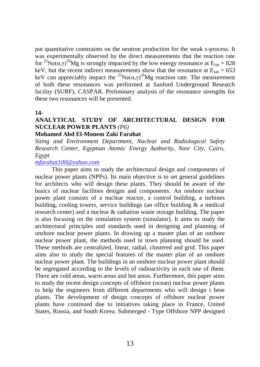put quantitative constraints on the neutron production for the weak s-process. It was experimentally observed by the direct measurements that the reaction rate for <sup>22</sup>Ne( $\alpha$ ,γ)<sup>26</sup>Mg is strongly impacted by the low energy resonance at E<sub>lab</sub> = 828 keV, but the recent indirect measurements show that the resonance at  $E_{lab} = 653$ keV can appreciably impact the <sup>22</sup>Ne( $(\alpha, \gamma)^{26}$ Mg reaction rate. The measurement of both these resonances was performed at Sanford Underground Research facility (SURF), CASPAR. Preliminary analysis of the resonance strengths for these two resonances will be presented.

#### **14-**

# **ANALYTICAL STUDY OF ARCHITECTURAL DESIGN FOR NUCLEAR POWER PLANTS** *(P6)*

#### **Mohamed Abd El-Monem Zaki Farahat**

*Siting and Environment Department, Nuclear and Radiological Safety Research Center, Egyptian Atomic Energy Authority, Nasr City, Cairo, Egypt*

#### *[mfarahat100@yahoo.com](mailto:mfarahat100@yahoo.com)*

This paper aims to study the architectural design and components of nuclear power plants (NPPs). Its main objective is to set general guidelines for architects who will design these plants. They should be aware of the basics of nuclear facilities designs and components. An onshore nuclear power plant consists of a nuclear reactor, a control building, a turbines building, cooling towers, service buildings (an office building & a medical research center) and a nuclear & radiation waste storage building. The paper is also focusing on the simulation system (simulator). It aims to study the architectural principles and standards used in designing and planning of onshore nuclear power plants. In drawing up a master plan of an onshore nuclear power plant, the methods used in town planning should be used. These methods are centralized, linear, radial, clustered and grid. This paper aims also to study the special features of the master plan of an onshore nuclear power plant. The buildings in an onshore nuclear power plant should be segregated according to the levels of radioactivity in each one of them. There are cold areas, warm areas and hot areas. Furthermore, this paper aims to study the recent design concepts of offshore (ocean) nuclear power plants to help the engineers from different departments who will design t hese plants. The development of design concepts of offshore nuclear power plants have continued due to initiatives taking place in France, United States, Russia, and South Korea. Submerged - Type Offshore NPP designed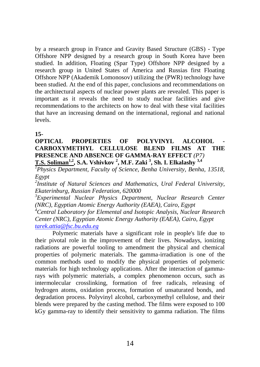by a research group in France and Gravity Based Structure (GBS) - Type Offshore NPP designed by a research group in South Korea have been studied. In addition, Floating (Spar Type) Offshore NPP designed by a research group in United States of America and Russias first Floating Offshore NPP (Akademik Lomonosov) utilizing the (PWR) technology have been studied. At the end of this paper, conclusions and recommendations on the architectural aspects of nuclear power plants are revealed. This paper is important as it reveals the need to study nuclear facilities and give recommendations to the architects on how to deal with these vital facilities that have an increasing demand on the international, regional and national levels.

### **15-**

## **OPTICAL PROPERTIES OF POLYVINYL ALCOHOL CARBOXYMETHYL CELLULOSE BLEND FILMS AT THE PRESENCE AND ABSENCE OF GAMMA-RAY EFFECT** *(P7)* **T.S. Soliman1,2, S.A. Vshivkov <sup>2</sup> , M.F. Zaki <sup>3</sup> , Sh. I. Elkalashy 3,4**

*<sup>1</sup>Physics Department, Faculty of Science, Benha University, Benha, 13518, Egypt* 

*2 Institute of Natural Sciences and Mathematics, Ural Federal University, Ekaterinburg, Russian Federation, 620000* 

*<sup>3</sup>Experimental Nuclear Physics Department, Nuclear Research Center (NRC), Egyptian Atomic Energy Authority (EAEA), Cairo, Egypt* 

*<sup>4</sup>Central Laboratory for Elemental and Isotopic Analysis, Nuclear Research Center (NRC), Egyptian Atomic Energy Authority (EAEA), Cairo, Egypt [tarek.attia@fsc.bu.edu.eg](mailto:tarek.attia@fsc.bu.edu.eg)*

Polymeric materials have a significant role in people's life due to their pivotal role in the improvement of their lives. Nowadays, ionizing radiations are powerful tooling to amendment the physical and chemical properties of polymeric materials. The gamma-irradiation is one of the common methods used to modify the physical properties of polymeric materials for high technology applications. After the interaction of gammarays with polymeric materials, a complex phenomenon occurs, such as intermolecular crosslinking, formation of free radicals, releasing of hydrogen atoms, oxidation process, formation of unsaturated bonds, and degradation process. Polyvinyl alcohol, carboxymethyl cellulose, and their blends were prepared by the casting method. The films were exposed to 100 kGy gamma-ray to identify their sensitivity to gamma radiation. The films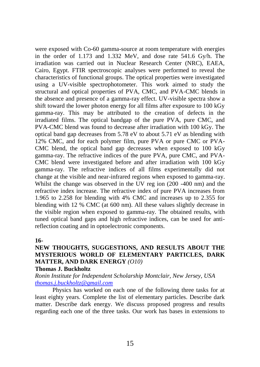were exposed with Co-60 gamma-source at room temperature with energies in the order of 1.173 and 1.332 MeV, and dose rate 541.6 Gy/h. The irradiation was carried out in Nuclear Research Center (NRC), EAEA, Cairo, Egypt. FTIR spectroscopic analyses were performed to reveal the characteristics of functional groups. The optical properties were investigated using a UV-visible spectrophotometer. This work aimed to study the structural and optical properties of PVA, CMC, and PVA-CMC blends in the absence and presence of a gamma-ray effect. UV-visible spectra show a shift toward the lower photon energy for all films after exposure to 100 kGy gamma-ray. This may be attributed to the creation of defects in the irradiated films. The optical bandgap of the pure PVA, pure CMC, and PVA-CMC blend was found to decrease after irradiation with 100 kGy. The optical band gap decreases from 5.78 eV to about 5.71 eV as blending with 12% CMC, and for each polymer film, pure PVA or pure CMC or PVA-CMC blend, the optical band gap decreases when exposed to 100 kGy gamma-ray. The refractive indices of the pure PVA, pure CMC, and PVA-CMC blend were investigated before and after irradiation with 100 kGy gamma-ray. The refractive indices of all films experimentally did not change at the visible and near-infrared regions when exposed to gamma-ray. Whilst the change was observed in the UV reg ion (200 -400 nm) and the refractive index increase. The refractive index of pure PVA increases from 1.965 to 2.258 for blending with 4% CMC and increases up to 2.355 for blending with 12 % CMC (at 600 nm). All these values slightly decrease in the visible region when exposed to gamma-ray. The obtained results, with tuned optical band gaps and high refractive indices, can be used for antireflection coating and in optoelectronic components.

### **16-**

# **NEW THOUGHTS, SUGGESTIONS, AND RESULTS ABOUT THE MYSTERIOUS WORLD OF ELEMENTARY PARTICLES, DARK MATTER, AND DARK ENERGY** *(O10)*

#### **Thomas J. Buckholtz**

*Ronin Institute for Independent Scholarship Montclair, New Jersey, USA [thomas.j.buckholtz@gmail.com](mailto:thomas.j.buckholtz@gmail.com)*

Physics has worked on each one of the following three tasks for at least eighty years. Complete the list of elementary particles. Describe dark matter. Describe dark energy. We discuss proposed progress and results regarding each one of the three tasks. Our work has bases in extensions to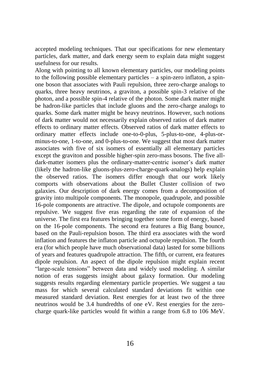accepted modeling techniques. That our specifications for new elementary particles, dark matter, and dark energy seem to explain data might suggest usefulness for our results.

Along with pointing to all known elementary particles, our modeling points to the following possible elementary particles – a spin-zero inflaton, a spinone boson that associates with Pauli repulsion, three zero-charge analogs to quarks, three heavy neutrinos, a graviton, a possible spin-3 relative of the photon, and a possible spin-4 relative of the photon. Some dark matter might be hadron-like particles that include gluons and the zero-charge analogs to quarks. Some dark matter might be heavy neutrinos. However, such notions of dark matter would not necessarily explain observed ratios of dark matter effects to ordinary matter effects. Observed ratios of dark matter effects to ordinary matter effects include one-to-0-plus, 5-plus-to-one, 4-plus-orminus-to-one, 1-to-one, and 0-plus-to-one. We suggest that most dark matter associates with five of six isomers of essentially all elementary particles except the graviton and possible higher-spin zero-mass bosons. The five alldark-matter isomers plus the ordinary-matter-centric isomer's dark matter (likely the hadron-like gluons-plus-zero-charge-quark-analogs) help explain the observed ratios. The isomers differ enough that our work likely comports with observations about the Bullet Cluster collision of two galaxies. Our description of dark energy comes from a decomposition of gravity into multipole components. The monopole, quadrupole, and possible 16-pole components are attractive. The dipole, and octupole components are repulsive. We suggest five eras regarding the rate of expansion of the universe. The first era features bringing together some form of energy, based on the 16-pole components. The second era features a Big Bang bounce, based on the Pauli-repulsion boson. The third era associates with the word inflation and features the inflaton particle and octupole repulsion. The fourth era (for which people have much observational data) lasted for some billions of years and features quadrupole attraction. The fifth, or current, era features dipole repulsion. An aspect of the dipole repulsion might explain recent "large-scale tensions" between data and widely used modeling. A similar notion of eras suggests insight about galaxy formation. Our modeling suggests results regarding elementary particle properties. We suggest a tau mass for which several calculated standard deviations fit within one measured standard deviation. Rest energies for at least two of the three neutrinos would be 3.4 hundredths of one eV. Rest energies for the zerocharge quark-like particles would fit within a range from 6.8 to 106 MeV.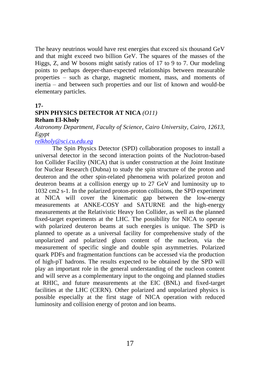The heavy neutrinos would have rest energies that exceed six thousand GeV and that might exceed two billion GeV. The squares of the masses of the Higgs, Z, and W bosons might satisfy ratios of 17 to 9 to 7. Our modeling points to perhaps deeper-than-expected relationships between measurable properties – such as charge, magnetic moment, mass, and moments of inertia – and between such properties and our list of known and would-be elementary particles.

#### **17-**

## **SPIN PHYSICS DETECTOR AT NICA** *(O11)* **Reham El-Kholy**

*Astronomy Department, Faculty of Science, Cairo University, Cairo, 12613, Egypt*

#### *[relkholy@sci.cu.edu.eg](mailto:relkholy@sci.cu.edu.eg)*

The Spin Physics Detector (SPD) collaboration proposes to install a universal detector in the second interaction points of the Nuclotron-based Ion Collider Facility (NICA) that is under construction at the Joint Institute for Nuclear Research (Dubna) to study the spin structure of the proton and deuteron and the other spin-related phenomena with polarized proton and deuteron beams at a collision energy up to 27 GeV and luminosity up to 1032 cm2 s-1. In the polarized proton-proton collisions, the SPD experiment at NICA will cover the kinematic gap between the low-energy measurements at ANKE-COSY and SATURNE and the high-energy measurements at the Relativistic Heavy Ion Collider, as well as the planned fixed-target experiments at the LHC. The possibility for NICA to operate with polarized deuteron beams at such energies is unique. The SPD is planned to operate as a universal facility for comprehensive study of the unpolarized and polarized gluon content of the nucleon, via the measurement of specific single and double spin asymmetries. Polarized quark PDFs and fragmentation functions can be accessed via the production of high-pT hadrons. The results expected to be obtained by the SPD will play an important role in the general understanding of the nucleon content and will serve as a complementary input to the ongoing and planned studies at RHIC, and future measurements at the EIC (BNL) and fixed-target facilities at the LHC (CERN). Other polarized and unpolarized physics is possible especially at the first stage of NICA operation with reduced luminosity and collision energy of proton and ion beams.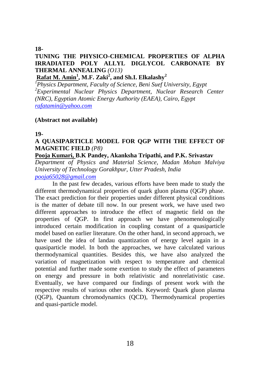#### **18-**

# **TUNING THE PHYSICO-CHEMICAL PROPERTIES OF ALPHA IRRADIATED POLY ALLYL DIGLYCOL CARBONATE BY THERMAL ANNEALING** *(O13)*

**Rafat M. Amin<sup>1</sup> , M.F. Zaki<sup>2</sup> , and Sh.I. Elkalashy<sup>2</sup>**

*<sup>1</sup>Physics Department, Faculty of Science, Beni Suef University, Egypt <sup>2</sup>Experimental Nuclear Physics Department, Nuclear Research Center (NRC), Egyptian Atomic Energy Authority (EAEA), Cairo, Egypt [rafatamin@yahoo.com](mailto:rafatamin@yahoo.com)*

### **(Abstract not available)**

### **19-**

# **A QUASIPARTICLE MODEL FOR QGP WITH THE EFFECT OF MAGNETIC FIELD** *(P8)*

## **Pooja Kumari, B.K Pandey, Akanksha Tripathi, and P.K. Srivastav**

*Department of Physics and Material Science, Madan Mohan Malviya University of Technology Gorakhpur, Utter Pradesh, India [pooja65028@gmail.com](mailto:pooja65028@gmail.com)*

In the past few decades, various efforts have been made to study the different thermodynamical properties of quark gluon plasma (QGP) phase. The exact prediction for their properties under different physical conditions is the matter of debate till now. In our present work, we have used two different approaches to introduce the effect of magnetic field on the properties of QGP. In first approach we have phenomenologically introduced certain modification in coupling constant of a quasiparticle model based on earlier literature. On the other hand, in second approach, we have used the idea of landau quantization of energy level again in a quasiparticle model. In both the approaches, we have calculated various thermodynamical quantities. Besides this, we have also analyzed the variation of magnetization with respect to temperature and chemical potential and further made some exertion to study the effect of parameters on energy and pressure in both relativistic and nonrelativistic case. Eventually, we have compared our findings of present work with the respective results of various other models. Keyword: Quark gluon plasma (QGP), Quantum chromodynamics (QCD), Thermodynamical properties and quasi-particle model.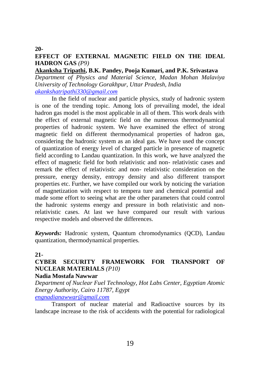#### **20-**

# **EFFECT OF EXTERNAL MAGNETIC FIELD ON THE IDEAL HADRON GAS** *(P9)*

#### **Akanksha Tripathi, B.K. Pandey, Pooja Kumari, and P.K. Srivastava**

*Department of Physics and Material Science, Madan Mohan Malaviya University of Technology Gorakhpur, Uttar Pradesh, India [akankshatripathi330@gmail.com](mailto:akankshatripathi330@gmail.com)*

In the field of nuclear and particle physics, study of hadronic system is one of the trending topic. Among lots of prevailing model, the ideal hadron gas model is the most applicable in all of them. This work deals with the effect of external magnetic field on the numerous thermodynamical properties of hadronic system. We have examined the effect of strong magnetic field on different thermodynamical properties of hadron gas, considering the hadronic system as an ideal gas. We have used the concept of quantization of energy level of charged particle in presence of magnetic field according to Landau quantization. In this work, we have analyzed the effect of magnetic field for both relativistic and non- relativistic cases and remark the effect of relativistic and non- relativistic consideration on the pressure, energy density, entropy density and also different transport properties etc. Further, we have compiled our work by noticing the variation of magnetization with respect to tempera ture and chemical potential and made some effort to seeing what are the other parameters that could control the hadronic systems energy and pressure in both relativistic and nonrelativistic cases. At last we have compared our result with various respective models and observed the differences.

*Keywords:* Hadronic system, Quantum chromodynamics (QCD), Landau quantization, thermodynamical properties.

#### **21-**

# **CYBER SECURITY FRAMEWORK FOR TRANSPORT OF NUCLEAR MATERIALS** *(P10)*

### **Nadia Mostafa Nawwar**

*Department of Nuclear Fuel Technology, Hot Labs Center, Egyptian Atomic Energy Authority, Cairo 11787, Egypt [engnadianawwar@gmail.com](mailto:engnadianawwar@gmail.com)*

Transport of nuclear material and Radioactive sources by its landscape increase to the risk of accidents with the potential for radiological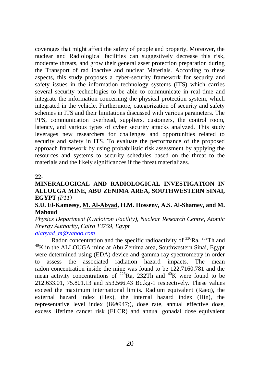coverages that might affect the safety of people and property. Moreover, the nuclear and Radiological facilities can suggestively decrease this risk, moderate threats, and grow their general asset protection preparation during the Transport of rad ioactive and nuclear Materials. According to these aspects, this study proposes a cyber-security framework for security and safety issues in the information technology systems (ITS) which carries several security technologies to be able to communicate in real-time and integrate the information concerning the physical protection system, which integrated in the vehicle. Furthermore, categorization of security and safety schemes in ITS and their limitations discussed with various parameters. The PPS, communication overhead, suppliers, customers, the control room, latency, and various types of cyber security attacks analyzed. This study leverages new researchers for challenges and opportunities related to security and safety in ITS. To evaluate the performance of the proposed approach framework by using probabilistic risk assessment by applying the resources and systems to security schedules based on the threat to the materials and the likely significances if the threat materializes.

### **22-**

## **MINERALOGICAL AND RADIOLOGICAL INVESTIGATION IN ALLOUGA MINE, ABU ZENIMA AREA, SOUTHWESTERN SINAI, EGYPT** *(P11)*

### **S.U. El-Kameesy, M. Al-Abyad, H.M. Hosseny, A.S. Al-Shamey, and M. Mahoud**

*Physics Department (Cyclotron Facility), Nuclear Research Centre, Atomic Energy Authority, Cairo 13759, Egypt*

#### *[alabyad\\_m@yahoo.com](mailto:alabyad_m@yahoo.com)*

Radon concentration and the specific radioactivity of  $^{226}$ Ra,  $^{232}$ Th and  $^{40}$ K in the ALLOUGA mine at Abu Zenima area, Southwestern Sinai, Egypt were determined using (EDA) device and gamma ray spectrometry in order to assess the associated radiation hazard impacts. The mean radon concentration inside the mine was found to be 122.7160.781 and the mean activity concentrations of  $^{226}$ Ra, 232Th and  $^{40}$ K were found to be 212.633.01, 75.801.13 and 553.566.43 Bq.kg-1 respectively. These values exceed the maximum international limits. Radium equivalent (Raeq), the external hazard index (Hex), the internal hazard index (Hin), the representative level index  $(I\&\#947)$ , dose rate, annual effective dose, excess lifetime cancer risk (ELCR) and annual gonadal dose equivalent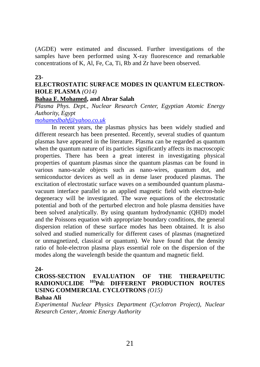(AGDE) were estimated and discussed. Further investigations of the samples have been performed using X-ray fluorescence and remarkable concentrations of K, Al, Fe, Ca, Ti, Rb and Zr have been observed.

#### **23-**

# **ELECTROSTATIC SURFACE MODES IN QUANTUM ELECTRON-HOLE PLASMA** *(O14)*

# **Bahaa F. Mohamed, and Abrar Salah**

*Plasma Phys. Dept., Nuclear Research Center, Egyptian Atomic Energy Authority, Egypt*

*[mohamedbahf@yahoo.co.uk](mailto:mohamedbahf@yahoo.co.uk)*

In recent years, the plasmas physics has been widely studied and different research has been presented. Recently, several studies of quantum plasmas have appeared in the literature. Plasma can be regarded as quantum when the quantum nature of its particles significantly affects its macroscopic properties. There has been a great interest in investigating physical properties of quantum plasmas since the quantum plasmas can be found in various nano-scale objects such as nano-wires, quantum dot, and semiconductor devices as well as in dense laser produced plasmas. The excitation of electrostatic surface waves on a semibounded quantum plasmavacuum interface parallel to an applied magnetic field with electron-hole degeneracy will be investigated. The wave equations of the electrostatic potential and both of the perturbed electron and hole plasma densities have been solved analytically. By using quantum hydrodynamic (QHD) model and the Poissons equation with appropriate boundary conditions, the general dispersion relation of these surface modes has been obtained. It is also solved and studied numerically for different cases of plasmas (magnetized or unmagnetized, classical or quantum). We have found that the density ratio of hole-electron plasma plays essential role on the dispersion of the modes along the wavelength beside the quantum and magnetic field.

#### **24-**

# **CROSS-SECTION EVALUATION OF THE THERAPEUTIC RADIONUCLIDE <sup>103</sup>Pd: DIFFERENT PRODUCTION ROUTES USING COMMERCIAL CYCLOTRONS** *(O15)*

#### **Bahaa Ali**

*Experimental Nuclear Physics Department (Cyclotron Project), Nuclear Research Center, Atomic Energy Authority*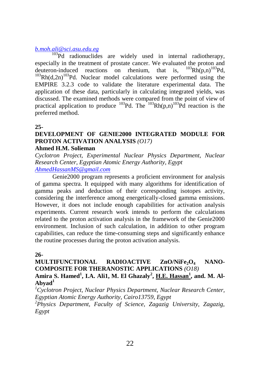# *[b.moh.ali@sci.asu.edu.eg](mailto:b.moh.ali@sci.asu.edu.eg)*

<sup>103</sup>Pd radionuclides are widely used in internal radiotherapy, especially in the treatment of prostate cancer. We evaluated the proton and deuteron-induced reactions on rhenium, that is,  $^{103}Rh(D,n)^{103}Pd$ .  $deuteron-induced reactions on rhenium, that is,$  $103Rh(d,2n)^{103}Pd$ . Nuclear model calculations were performed using the EMPIRE 3.2.3 code to validate the literature experimental data. The application of these data, particularly in calculating integrated yields, was discussed. The examined methods were compared from the point of view of practical application to produce  $^{103}Pd$ . The  $^{103}Rh(p,n)^{103}Pd$  reaction is the preferred method.

#### **25-**

# **DEVELOPMENT OF GENIE2000 INTEGRATED MODULE FOR PROTON ACTIVATION ANALYSIS** *(O17)*

#### **Ahmed H.M. Solieman**

*Cyclotron Project, Experimental Nuclear Physics Department, Nuclear Research Center, Egyptian Atomic Energy Authority, Egypt [AhmedHassanMS@gmail.com](mailto:AhmedHassanMS@gmail.com)*

Genie2000 program represents a proficient environment for analysis of gamma spectra. It equipped with many algorithms for identification of gamma peaks and deduction of their corresponding isotopes activity, considering the interference among energetically-closed gamma emissions. However, it does not include enough capabilities for activation analysis experiments. Current research work intends to perform the calculations related to the proton activation analysis in the framework of the Genie2000 environment. Inclusion of such calculation, in addition to other program capabilities, can reduce the time-consuming steps and significantly enhance the routine processes during the proton activation analysis.

### **26-**

# **MULTIFUNCTIONAL RADIOACTIVE ZnO/NiFe<sub>2</sub>O<sub>4</sub> NANO-COMPOSITE FOR THERANOSTIC APPLICATIONS** *(O18)*

# Amira S. Hamed<sup>1</sup>, I.A. Ali1, M. El Ghazaly<sup>2</sup>, <u>H.E. Hassan<sup>1</sup>, and. M. Al-</u> **Abyad<sup>1</sup>**

*<sup>1</sup>Cyclotron Project, Nuclear Physics Department, Nuclear Research Center, Egyptian Atomic Energy Authority, Cairo13759, Egypt*

*<sup>2</sup>Physics Department, Faculty of Science, Zagazig University, Zagazig, Egypt*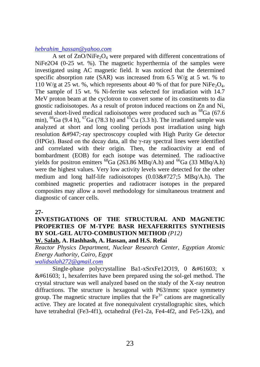#### *[hebrahim\\_hassan@yahoo.com](mailto:hebrahim_hassan@yahoo.com)*

A set of  $ZnO/NiFe<sub>2</sub>O<sub>4</sub>$  were prepared with different concentrations of NiFe2O4 (0-25 wt. %). The magnetic hyperthermia of the samples were investigated using AC magnetic field. It was noticed that the determined specific absorption rate (SAR) was increased from 6.5 W/g at 5 wt. % to 110 W/g at 25 wt. %, which represents about 40 % of that for pure NiFe<sub>2</sub>O<sub>4</sub>. The sample of 15 wt. % Ni-ferrite was selected for irradiation with 14.7 MeV proton beam at the cyclotron to convert some of its constituents to dia gnostic radioisotopes. As a result of proton induced reactions on Zn and Ni, several short-lived medical radioisotopes were produced such as <sup>68</sup>Ga (67.6) min),  ${}^{66}Ga$  (9.4 h),  ${}^{67}Ga$  (78.3 h) and  ${}^{61}Cu$  (3.3 h). The irradiated sample was analyzed at short and long cooling periods post irradiation using high resolution &#947:-ray spectroscopy coupled with High Purity Ge detector (HPGe). Based on the decay data, all the  $\gamma$ -ray spectral lines were identified and correlated with their origin. Then, the radioactivity at end of bombardment (EOB) for each isotope was determined. The radioactive yields for positron emitters <sup>68</sup>Ga (263.86 MBq/A.h) and <sup>66</sup>Ga (33 MBq/A.h) were the highest values. Very low activity levels were detected for the other medium and long half-life radioisotopes  $(0.03&\#727.5 \text{ MBq/A.h})$ . The combined magnetic properties and radiotracer isotopes in the prepared composites may allow a novel methodology for simultaneous treatment and diagnostic of cancer cells.

#### **27-**

# **INVESTIGATIONS OF THE STRUCTURAL AND MAGNETIC PROPERTIES OF M-TYPE BASR HEXAFERRITES SYNTHESIS BY SOL-GEL AUTO-COMBUSTION METHOD** *(P12)*

#### **W. Salah, A. Hashhash, A. Hassan, and H.S. Refai**

*Reactor Physics Department, Nuclear Research Center, Egyptian Atomic Energy Authority, Cairo, Egypt*

*[walidsalah272@gmail.com](mailto:walidsalah272@gmail.com)* 

Single-phase polycrystalline Ba1-xSrxFe12O19,  $0 \& #61603$ ; x  $& 461603$ ; 1, hexaferrites have been prepared using the sol-gel method. The crystal structure was well analyzed based on the study of the X-ray neutron diffractions. The structure is hexagonal with P63/mmc space symmetry group. The magnetic structure implies that the  $Fe<sup>3+</sup>$  cations are magnetically active. They are located at five nonequivalent crystallographic sites, which have tetrahedral (Fe3-4f1), octahedral (Fe1-2a, Fe4-4f2, and Fe5-12k), and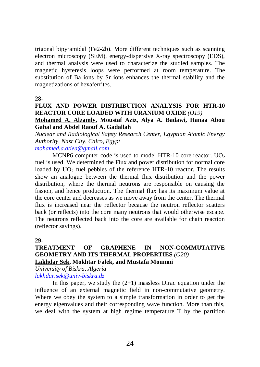trigonal bipyramidal (Fe2-2b). More different techniques such as scanning electron microscopy (SEM), energy-dispersive X-ray spectroscopy (EDS), and thermal analysis were used to characterize the studied samples. The magnetic hysteresis loops were performed at room temperature. The substitution of Ba ions by Sr ions enhances the thermal stability and the magnetizations of hexaferrites.

**28-**

# **FLUX AND POWER DISTRIBUTION ANALYSIS FOR HTR-10 REACTOR CORE LOADED WITH URANIUM OXIDE** *(O19)*

## **Mohamed A. Alzamly, Moustaf Aziz, Alya A. Badawi, Hanaa Abou Gabal and Abdel Raouf A. Gadallah**

*Nuclear and Radiological Safety Research Center, Egyptian Atomic Energy Authority, Nasr City, Cairo, Egypt*

# *[mohamed.a.atiea@gmail.com](mailto:mohamed.a.atiea@gmail.com)*

MCNP6 computer code is used to model HTR-10 core reactor.  $UO<sub>2</sub>$ fuel is used. We determined the Flux and power distribution for normal core loaded by  $UO<sub>2</sub>$  fuel pebbles of the reference HTR-10 reactor. The results show an analogue between the thermal flux distribution and the power distribution, where the thermal neutrons are responsible on causing the fission, and hence production. The thermal flux has its maximum value at the core center and decreases as we move away from the center. The thermal flux is increased near the reflector because the neutron reflector scatters back (or reflects) into the core many neutrons that would otherwise escape. The neutrons reflected back into the core are available for chain reaction (reflector savings).

### **29-**

# **TREATMENT OF GRAPHENE IN NON-COMMUTATIVE GEOMETRY AND ITS THERMAL PROPERTIES** *(O20)* **Lakhdar Sek, Mokhtar Falek, and Mustafa Moumni**

*University of Biskra, Algeria [lakhdar.sek@univ-biskra.dz](mailto:lakhdar.sek@univ-biskra.dz)*

In this paper, we study the  $(2+1)$  massless Dirac equation under the influence of an external magnetic field in non-commutative geometry. Where we obey the system to a simple transformation in order to get the energy eigenvalues and their corresponding wave function. More than this, we deal with the system at high regime temperature T by the partition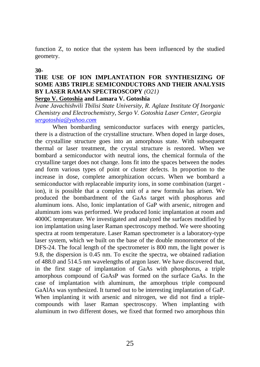function Z, to notice that the system has been influenced by the studied geometry.

#### **30-**

# **THE USE OF ION IMPLANTATION FOR SYNTHESIZING OF SOME A3B5 TRIPLE SEMICONDUCTORS AND THEIR ANALYSIS BY LASER RAMAN SPECTROSCOPY** *(O21)*

#### **Sergo V. Gotoshia and Lamara V. Gotoshia**

*Ivane Javachishvili Tbilisi State University, R. Aglaze Institute Of Inorganic Chemistry and Electrochemistry, Sergo V. Gotoshia Laser Center, Georgia [sergotoshia@yahoo.com](mailto:sergotoshia@yahoo.com)*

When bombarding semiconductor surfaces with energy particles, there is a distruction of the crystalline structure. When doped in large doses, the crystalline structure goes into an amorphous state. With subsequent thermal or laser treatment, the crystal structure is restored. When we bombard a semiconductor with neutral ions, the chemical formula of the crystalline target does not change. Ions fit into the spaces between the nodes and form various types of point or cluster defects. In proportion to the increase in dose, complete amorphization occurs. When we bombard a semiconductor with replaceable impurity ions, in some combination (target ion), it is possible that a complex unit of a new formula has arisen. We produced the bombardment of the GaAs target with phosphorus and aluminum ions. Also, Ionic implantation of GaP with arsenic, nitrogen and aluminum ions was performed. We produced Ionic implantation at room and 4000C temperature. We investigated and analyzed the surfaces modified by ion implantation using laser Raman spectroscopy method. We were shooting spectra at room temperature. Laser Raman spectrometer is a laboratory-type laser system, which we built on the base of the double monorometor of the DFS-24. The focal length of the spectrometer is 800 mm, the light power is 9.8, the dispersion is 0.45 nm. To excite the spectra, we obtained radiation of 488.0 and 514.5 nm wavelengths of argon laser. We have discovered that, in the first stage of implantation of GaAs with phosphorus, a triple amorphous compound of GaAsP was formed on the surface GaAs. In the case of implantation with aluminum, the amorphous triple compound GaAlAs was synthesized. It turned out to be interesting implantation of GaP. When implanting it with arsenic and nitrogen, we did not find a triplecompounds with laser Raman spectroscopy. When implanting with aluminum in two different doses, we fixed that formed two amorphous thin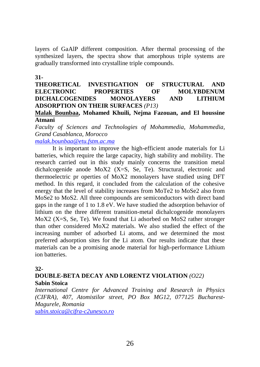layers of GaAlP different composition. After thermal processing of the synthesized layers, the spectra show that amorphous triple systems are gradually transformed into crystalline triple compounds.

#### **31-**

## **THEORETICAL INVESTIGATION OF STRUCTURAL AND ELECTRONIC PROPERTIES OF MOLYBDENUM DICHALCOGENIDES MONOLAYERS AND LITHIUM ADSORPTION ON THEIR SURFACES** *(P13)*

#### **Malak Bounbaa, Mohamed Khuili, Nejma Fazouan, and El houssine Atmani**

*Faculty of Sciences and Technologies of Mohammedia, Mohammedia, Grand Casablanca, Morocco*

### *[malak.bounbaa@etu.fstm.ac.ma](mailto:malak.bounbaa@etu.fstm.ac.ma)*

It is important to improve the high-efficient anode materials for Li batteries, which require the large capacity, high stability and mobility. The research carried out in this study mainly concerns the transition metal dichalcogenide anode MoX2 (X=S, Se, Te). Structural, electronic and thermoelectric pr operties of MoX2 monolayers have studied using DFT method. In this regard, it concluded from the calculation of the cohesive energy that the level of stability increases from MoTe2 to MoSe2 also from MoSe2 to MoS2. All three compounds are semiconductors with direct band gaps in the range of 1 to 1.8 eV. We have studied the adsorption behavior of lithium on the three different transition-metal dichalcogenide monolayers MoX2 ( $X=S$ , Se, Te). We found that Li adsorbed on MoS2 rather stronger than other considered MoX2 materials. We also studied the effect of the increasing number of adsorbed Li atoms, and we determined the most preferred adsorption sites for the Li atom. Our results indicate that these materials can be a promising anode material for high-performance Lithium ion batteries.

### **32-**

# **DOUBLE-BETA DECAY AND LORENTZ VIOLATION** *(O22)* **Sabin Stoica**

*International Centre for Advanced Training and Research in Physics (CIFRA), 407, Atomistilor street, PO Box MG12, 077125 Bucharest-Magurele, Romania*

*[sabin.stoica@cifra-c2unesco.ro](mailto:sabin.stoica@cifra-c2unesco.ro)*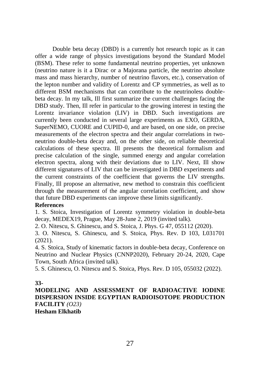Double beta decay (DBD) is a currently hot research topic as it can offer a wide range of physics investigations beyond the Standard Model (BSM). These refer to some fundamental neutrino properties, yet unknown (neutrino nature is it a Dirac or a Majorana particle, the neutrino absolute mass and mass hierarchy, number of neutrino flavors, etc.), conservation of the lepton number and validity of Lorentz and CP symmetries, as well as to different BSM mechanisms that can contribute to the neutrinoless doublebeta decay. In my talk, Ill first summarize the current challenges facing the DBD study. Then, Ill refer in particular to the growing interest in testing the Lorentz invariance violation (LIV) in DBD. Such investigations are currently been conducted in several large experiments as EXO, GERDA, SuperNEMO, CUORE and CUPID-0, and are based, on one side, on precise measurements of the electron spectra and their angular correlations in twoneutrino double-beta decay and, on the other side, on reliable theoretical calculations of these spectra. Ill presents the theoretical formalism and precise calculation of the single, summed energy and angular correlation electron spectra, along with their deviations due to LIV. Next, Ill show different signatures of LIV that can be investigated in DBD experiments and the current constraints of the coefficient that governs the LIV strengths. Finally, Ill propose an alternative, new method to constrain this coefficient through the measurement of the angular correlation coefficient, and show that future DBD experiments can improve these limits significantly.

#### **References**

1. S. Stoica, Investigation of Lorentz symmetry violation in double-beta decay, MEDEX19, Prague, May 28-June 2, 2019 (invited talk).

2. O. Nitescu, S. Ghinescu, and S. Stoica, J. Phys. G 47, 055112 (2020).

3. O. Nitescu, S. Ghinescu, and S. Stoica, Phys. Rev. D 103, L031701 (2021).

4. S. Stoica, Study of kinematic factors in double-beta decay, Conference on Neutrino and Nuclear Physics (CNNP2020), February 20-24, 2020, Cape Town, South Africa (invited talk).

5. S. Ghinescu, O. Nitescu and S. Stoica, Phys. Rev. D 105, 055032 (2022).

**33-**

**MODELING AND ASSESSMENT OF RADIOACTIVE IODINE DISPERSION INSIDE EGYPTIAN RADIOISOTOPE PRODUCTION FACILITY** *(O23)* **Hesham Elkhatib**

27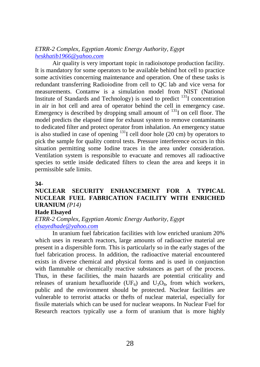*ETRR-2 Complex, Egyptian Atomic Energy Authority, Egypt [heskhatib1966@yahoo.com](mailto:heskhatib1966@yahoo.com)*

Air quality is very important topic in radioisotope production facility. It is mandatory for some operators to be available behind hot cell to practice some activities concerning maintenance and operation. One of these tasks is redundant transferring Radioiodine from cell to QC lab and vice versa for measurements. Contamw is a simulation model from NIST (National Institute of Standards and Technology) is used to predict <sup>131</sup>I concentration in air in hot cell and area of operator behind the cell in emergency case. Emergency is described by dropping small amount of  $^{131}$ I on cell floor. The model predicts the elapsed time for exhaust system to remove contaminants to dedicated filter and protect operator from inhalation. An emergency statue is also studied in case of opening  $^{131}$ I cell door hole (20 cm) by operators to pick the sample for quality control tests. Pressure interference occurs in this situation permitting some Iodine traces in the area under consideration. Ventilation system is responsible to evacuate and removes all radioactive species to settle inside dedicated filters to clean the area and keeps it in permissible safe limits.

#### **34-**

# **NUCLEAR SECURITY ENHANCEMENT FOR A TYPICAL NUCLEAR FUEL FABRICATION FACILITY WITH ENRICHED URANIUM** *(P14)*

#### **Hade Elsayed**

*ETRR-2 Complex, Egyptian Atomic Energy Authority, Egypt [elsayedhade@yahoo.com](mailto:elsayedhade@yahoo.com)*

In uranium fuel fabrication facilities with low enriched uranium 20% which uses in research reactors, large amounts of radioactive material are present in a dispersible form. This is particularly so in the early stages of the fuel fabrication process. In addition, the radioactive material encountered exists in diverse chemical and physical forms and is used in conjunction with flammable or chemically reactive substances as part of the process. Thus, in these facilities, the main hazards are potential criticality and releases of uranium hexafluoride (UF<sub>6</sub>) and U<sub>3</sub>O<sub>8</sub>, from which workers, public and the environment should be protected. Nuclear facilities are vulnerable to terrorist attacks or thefts of nuclear material, especially for fissile materials which can be used for nuclear weapons. In Nuclear Fuel for Research reactors typically use a form of uranium that is more highly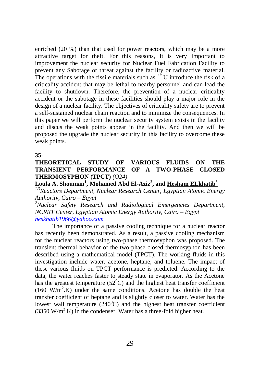enriched (20 %) than that used for power reactors, which may be a more attractive target for theft. For this reasons, It is very Important to improvement the nuclear security for Nuclear Fuel Fabrication Facility to prevent any Sabotage or threat against the facility or radioactive material. The operations with the fissile materials such as  $^{235}$ U introduce the risk of a criticality accident that may be lethal to nearby personnel and can lead the facility to shutdown. Therefore, the prevention of a nuclear criticality accident or the sabotage in these facilities should play a major role in the design of a nuclear facility. The objectives of criticality safety are to prevent a self-sustained nuclear chain reaction and to minimize the consequences. In this paper we will perform the nuclear security system exists in the facility and discus the weak points appear in the facility. And then we will be proposed the upgrade the nuclear security in this facility to overcome these weak points.

**35-**

## **THEORETICAL STUDY OF VARIOUS FLUIDS ON THE TRANSIENT PERFORMANCE OF A TWO-PHASE CLOSED THERMOSYPHON (TPCT)** *(O24)*

# **Loula A. Shouman<sup>1</sup> , Mohamed Abd El-Aziz<sup>2</sup> , and Hesham ELkhatib<sup>3</sup>**

*1,3Reactors Department, Nuclear Research Center, Egyptian Atomic Energy Authority, Cairo – Egypt*

*<sup>2</sup>Nuclear Safety Research and Radiological Emergencies Department, NCRRT Center, Egyptian Atomic Energy Authority, Cairo – Egypt [heskhatib1966@yahoo.com](mailto:heskhatib1966@yahoo.com)*

The importance of a passive cooling technique for a nuclear reactor has recently been demonstrated. As a result, a passive cooling mechanism for the nuclear reactors using two-phase thermosyphon was proposed. The transient thermal behavior of the two-phase closed thermosyphon has been described using a mathematical model (TPCT). The working fluids in this investigation include water, acetone, heptane, and toluene. The impact of these various fluids on TPCT performance is predicted. According to the data, the water reaches faster to steady state in evaporator. As the Acetone has the greatest temperature  $(52^0C)$  and the highest heat transfer coefficient  $(160 \text{ W/m}^2)$ . K) under the same conditions. Acetone has double the heat transfer coefficient of heptane and is slightly closer to water. Water has the lowest wall temperature  $(240^0C)$  and the highest heat transfer coefficient (3350 W/m<sup>2</sup> K) in the condenser. Water has a three-fold higher heat*.*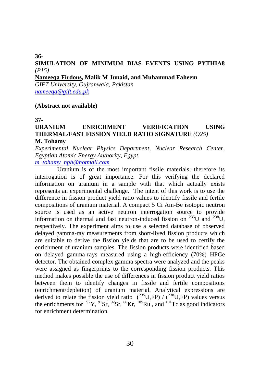#### **36- SIMULATION OF MINIMUM BIAS EVENTS USING PYTHIA8**  *(P15)*

#### **Nameeqa Firdous, Malik M Junaid, and Muhammad Faheem**

*GIFT University, Gujranwala, Pakistan [nameeqa@gift.edu.pk](mailto:nameeqa@gift.edu.pk)*

#### **(Abstract not available)**

**37-**

# **URANIUM ENRICHMENT VERIFICATION USING THERMAL/FAST FISSION YIELD RATIO SIGNATURE** *(O25)*

#### **M. Tohamy**

*Experimental Nuclear Physics Department, Nuclear Research Center, Egyptian Atomic Energy Authority, Egypt*

*[m\\_tohamy\\_nph@hotmail.com](mailto:m_tohamy_nph@hotmail.com)*

Uranium is of the most important fissile materials; therefore its interrogation is of great importance. For this verifying the declared information on uranium in a sample with that which actually exists represents an experimental challenge. The intent of this work is to use the difference in fission product yield ratio values to identify fissile and fertile compositions of uranium material. A compact 5 Ci Am-Be isotopic neutron source is used as an active neutron interrogation source to provide information on thermal and fast neutron-induced fission on  $^{235}$ U and  $^{238}$ U, respectively. The experiment aims to use a selected database of observed delayed gamma-ray measurements from short-lived fission products which are suitable to derive the fission yields that are to be used to certify the enrichment of uranium samples. The fission products were identified based on delayed gamma-rays measured using a high-efficiency (70%) HPGe detector. The obtained complex gamma spectra were analyzed and the peaks were assigned as fingerprints to the corresponding fission products. This method makes possible the use of differences in fission product yield ratios between them to identify changes in fissile and fertile compositions (enrichment/depletion) of uranium material. Analytical expressions are derived to relate the fission yield ratio  $(^{235}U, FP) / (^{238}U, FP)$  values versus the enrichments for  $^{92}Y$ ,  $^{91}Sr$ ,  $^{92}Sr$ ,  $^{88}Kr$ ,  $^{105}Ru$ , and  $^{101}Tc$  as good indicators for enrichment determination.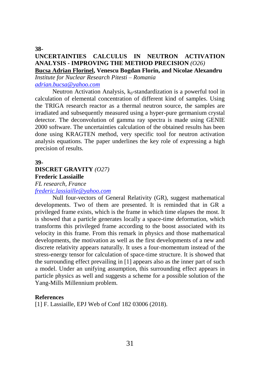#### **38- UNCERTAINTIES CALCULUS IN NEUTRON ACTIVATION ANALYSIS - IMPROVING THE METHOD PRECISION** *(O26)* **Bucsa Adrian Florinel, Venescu Bogdan Florin, and Nicolae Alexandru**

*Institute for Nuclear Research Pitesti – Romania [adrian.bucsa@yahoo.com](mailto:adrian.bucsa@yahoo.com)*

Neutron Activation Analysis, k<sub>0</sub>-standardization is a powerful tool in calculation of elemental concentration of different kind of samples. Using the TRIGA research reactor as a thermal neutron source, the samples are irradiated and subsequently measured using a hyper-pure germanium crystal detector. The deconvolution of gamma ray spectra is made using GENIE 2000 software. The uncertainties calculation of the obtained results has been done using KRAGTEN method, very specific tool for neutron activation analysis equations. The paper underlines the key role of expressing a high precision of results.

#### **39-**

# **DISCRET GRAVITY** *(O27)* **Frederic Lassiaille**

#### *FL research, France [frederic.lassiaille@yahoo.com](mailto:frederic.lassiaille@yahoo.com)*

Null four-vectors of General Relativity (GR), suggest mathematical developments. Two of them are presented. It is reminded that in GR a privileged frame exists, which is the frame in which time elapses the most. It is showed that a particle generates locally a space-time deformation, which transforms this privileged frame according to the boost associated with its velocity in this frame. From this remark in physics and those mathematical developments, the motivation as well as the first developments of a new and discrete relativity appears naturally. It uses a four-momentum instead of the stress-energy tensor for calculation of space-time structure. It is showed that the surrounding effect prevailing in [1] appears also as the inner part of such a model. Under an unifying assumption, this surrounding effect appears in particle physics as well and suggests a scheme for a possible solution of the Yang-Mills Millennium problem.

### **References**

[1] F. Lassiaille, EPJ Web of Conf 182 03006 (2018).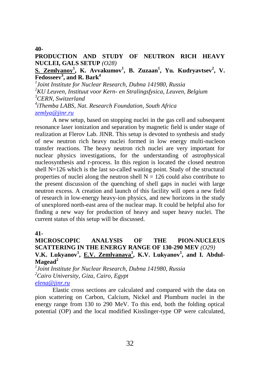**40-**

## **PRODUCTION AND STUDY OF NEUTRON RICH HEAVY NUCLEI, GALS SETUP** *(O28)*

# **S. Zemlyanoy<sup>1</sup> , K. Avvakumov<sup>1</sup> , B. Zuzaan<sup>1</sup> , Yu. Kudryavtsev<sup>2</sup> , V. Fedosseev<sup>3</sup> , and R. Bark<sup>4</sup>**

 *Joint Institute for Nuclear Research, Dubna 141980, Russia KU Leuven, Instituut voor Kern- en Stralingsfysica, Leuven, Belgium CERN, Switzerland iThemba LABS, Nat. Research Foundation, South Africa [zemlya@jinr.ru](mailto:zemlya@jinr.ru)*

A new setup, based on stopping nuclei in the gas cell and subsequent resonance laser ionization and separation by magnetic field is under stage of realization at Flerov Lab. JINR. This setup is devoted to synthesis and study of new neutron rich heavy nuclei formed in low energy multi-nucleon transfer reactions. The heavy neutron rich nuclei are very important for nuclear physics investigations, for the understanding of astrophysical nucleosynthesis and r-process. In this region is located the closed neutron shell  $N=126$  which is the last so-called waiting point. Study of the structural properties of nuclei along the neutron shell  $N = 126$  could also contribute to the present discussion of the quenching of shell gaps in nuclei with large neutron excess. A creation and launch of this facility will open a new field of research in low-energy heavy-ion physics, and new horizons in the study of unexplored north-east area of the nuclear map. It could be helpful also for finding a new way for production of heavy and super heavy nuclei. The current status of this setup will be discussed.

#### **41-**

# **MICROSCOPIC ANALYSIS OF THE PION-NUCLEUS SCATTERING IN THE ENERGY RANGE OF 130-290 MEV** *(O29)* V.K. Lukyanov<sup>1</sup>, <u>E.V. Zemlyanaya<sup>1</sup>, K.V. Lukyanov<sup>1</sup>, and I. Abdul-</u> **Magead<sup>2</sup>**

*1 Joint Institute for Nuclear Research, Dubna 141980, Russia <sup>2</sup>Cairo University, Giza, Cairo, Egypt [elena@jinr.ru](mailto:elena@jinr.ru)*

Elastic cross sections are calculated and compared with the data on pion scattering on Carbon, Calcium, Nickel and Plumbum nuclei in the energy range from 130 to 290 MeV. To this end, both the folding optical potential (OP) and the local modified Kisslinger-type OP were calculated,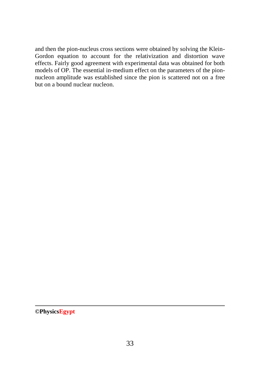and then the pion-nucleus cross sections were obtained by solving the Klein-Gordon equation to account for the relativization and distortion wave effects. Fairly good agreement with experimental data was obtained for both models of OP. The essential in-medium effect on the parameters of the pionnucleon amplitude was established since the pion is scattered not on a free but on a bound nuclear nucleon.

**©PhysicsEgypt**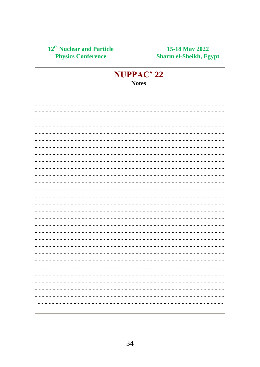# NUPPAC' 22 **Notes**

|  |  |  |  |  |  |  |  |               |  |  |  |  |  |               |  | ----------------------------------    |  |  |  |  |  |  |  |  |  |
|--|--|--|--|--|--|--|--|---------------|--|--|--|--|--|---------------|--|---------------------------------------|--|--|--|--|--|--|--|--|--|
|  |  |  |  |  |  |  |  |               |  |  |  |  |  |               |  |                                       |  |  |  |  |  |  |  |  |  |
|  |  |  |  |  |  |  |  |               |  |  |  |  |  |               |  |                                       |  |  |  |  |  |  |  |  |  |
|  |  |  |  |  |  |  |  |               |  |  |  |  |  |               |  |                                       |  |  |  |  |  |  |  |  |  |
|  |  |  |  |  |  |  |  |               |  |  |  |  |  |               |  | ------------------------------------  |  |  |  |  |  |  |  |  |  |
|  |  |  |  |  |  |  |  |               |  |  |  |  |  |               |  | ____________________________________  |  |  |  |  |  |  |  |  |  |
|  |  |  |  |  |  |  |  |               |  |  |  |  |  |               |  |                                       |  |  |  |  |  |  |  |  |  |
|  |  |  |  |  |  |  |  |               |  |  |  |  |  |               |  |                                       |  |  |  |  |  |  |  |  |  |
|  |  |  |  |  |  |  |  |               |  |  |  |  |  |               |  |                                       |  |  |  |  |  |  |  |  |  |
|  |  |  |  |  |  |  |  |               |  |  |  |  |  |               |  | ------------------------------------- |  |  |  |  |  |  |  |  |  |
|  |  |  |  |  |  |  |  |               |  |  |  |  |  |               |  |                                       |  |  |  |  |  |  |  |  |  |
|  |  |  |  |  |  |  |  |               |  |  |  |  |  |               |  |                                       |  |  |  |  |  |  |  |  |  |
|  |  |  |  |  |  |  |  |               |  |  |  |  |  |               |  |                                       |  |  |  |  |  |  |  |  |  |
|  |  |  |  |  |  |  |  |               |  |  |  |  |  |               |  |                                       |  |  |  |  |  |  |  |  |  |
|  |  |  |  |  |  |  |  |               |  |  |  |  |  |               |  |                                       |  |  |  |  |  |  |  |  |  |
|  |  |  |  |  |  |  |  |               |  |  |  |  |  |               |  |                                       |  |  |  |  |  |  |  |  |  |
|  |  |  |  |  |  |  |  |               |  |  |  |  |  |               |  |                                       |  |  |  |  |  |  |  |  |  |
|  |  |  |  |  |  |  |  |               |  |  |  |  |  |               |  | ----------------------------------    |  |  |  |  |  |  |  |  |  |
|  |  |  |  |  |  |  |  |               |  |  |  |  |  |               |  | ---------------------------------     |  |  |  |  |  |  |  |  |  |
|  |  |  |  |  |  |  |  |               |  |  |  |  |  |               |  |                                       |  |  |  |  |  |  |  |  |  |
|  |  |  |  |  |  |  |  |               |  |  |  |  |  |               |  |                                       |  |  |  |  |  |  |  |  |  |
|  |  |  |  |  |  |  |  |               |  |  |  |  |  |               |  |                                       |  |  |  |  |  |  |  |  |  |
|  |  |  |  |  |  |  |  |               |  |  |  |  |  |               |  |                                       |  |  |  |  |  |  |  |  |  |
|  |  |  |  |  |  |  |  |               |  |  |  |  |  |               |  |                                       |  |  |  |  |  |  |  |  |  |
|  |  |  |  |  |  |  |  | $\sim$ $\sim$ |  |  |  |  |  | $\sim$ $\sim$ |  | $\frac{1}{2}$                         |  |  |  |  |  |  |  |  |  |
|  |  |  |  |  |  |  |  |               |  |  |  |  |  |               |  |                                       |  |  |  |  |  |  |  |  |  |
|  |  |  |  |  |  |  |  |               |  |  |  |  |  |               |  |                                       |  |  |  |  |  |  |  |  |  |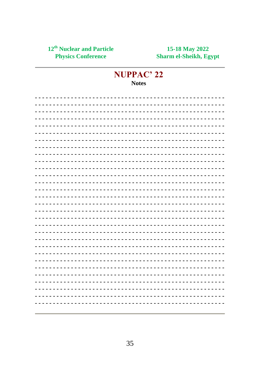# NUPPAC' 22 **Notes**

|  |  |  |  |  |  |  |  |  |  |  |  |  |  |  | ------------------------------------- |  |  |  |  |  |  |  |  |  |
|--|--|--|--|--|--|--|--|--|--|--|--|--|--|--|---------------------------------------|--|--|--|--|--|--|--|--|--|
|  |  |  |  |  |  |  |  |  |  |  |  |  |  |  |                                       |  |  |  |  |  |  |  |  |  |
|  |  |  |  |  |  |  |  |  |  |  |  |  |  |  |                                       |  |  |  |  |  |  |  |  |  |
|  |  |  |  |  |  |  |  |  |  |  |  |  |  |  |                                       |  |  |  |  |  |  |  |  |  |
|  |  |  |  |  |  |  |  |  |  |  |  |  |  |  |                                       |  |  |  |  |  |  |  |  |  |
|  |  |  |  |  |  |  |  |  |  |  |  |  |  |  | ----------------------------------    |  |  |  |  |  |  |  |  |  |
|  |  |  |  |  |  |  |  |  |  |  |  |  |  |  |                                       |  |  |  |  |  |  |  |  |  |
|  |  |  |  |  |  |  |  |  |  |  |  |  |  |  |                                       |  |  |  |  |  |  |  |  |  |
|  |  |  |  |  |  |  |  |  |  |  |  |  |  |  | -----------------------------------   |  |  |  |  |  |  |  |  |  |
|  |  |  |  |  |  |  |  |  |  |  |  |  |  |  |                                       |  |  |  |  |  |  |  |  |  |
|  |  |  |  |  |  |  |  |  |  |  |  |  |  |  |                                       |  |  |  |  |  |  |  |  |  |
|  |  |  |  |  |  |  |  |  |  |  |  |  |  |  |                                       |  |  |  |  |  |  |  |  |  |
|  |  |  |  |  |  |  |  |  |  |  |  |  |  |  |                                       |  |  |  |  |  |  |  |  |  |
|  |  |  |  |  |  |  |  |  |  |  |  |  |  |  |                                       |  |  |  |  |  |  |  |  |  |
|  |  |  |  |  |  |  |  |  |  |  |  |  |  |  |                                       |  |  |  |  |  |  |  |  |  |
|  |  |  |  |  |  |  |  |  |  |  |  |  |  |  |                                       |  |  |  |  |  |  |  |  |  |
|  |  |  |  |  |  |  |  |  |  |  |  |  |  |  |                                       |  |  |  |  |  |  |  |  |  |
|  |  |  |  |  |  |  |  |  |  |  |  |  |  |  |                                       |  |  |  |  |  |  |  |  |  |
|  |  |  |  |  |  |  |  |  |  |  |  |  |  |  | ----------------------------------    |  |  |  |  |  |  |  |  |  |
|  |  |  |  |  |  |  |  |  |  |  |  |  |  |  |                                       |  |  |  |  |  |  |  |  |  |
|  |  |  |  |  |  |  |  |  |  |  |  |  |  |  |                                       |  |  |  |  |  |  |  |  |  |
|  |  |  |  |  |  |  |  |  |  |  |  |  |  |  |                                       |  |  |  |  |  |  |  |  |  |
|  |  |  |  |  |  |  |  |  |  |  |  |  |  |  |                                       |  |  |  |  |  |  |  |  |  |